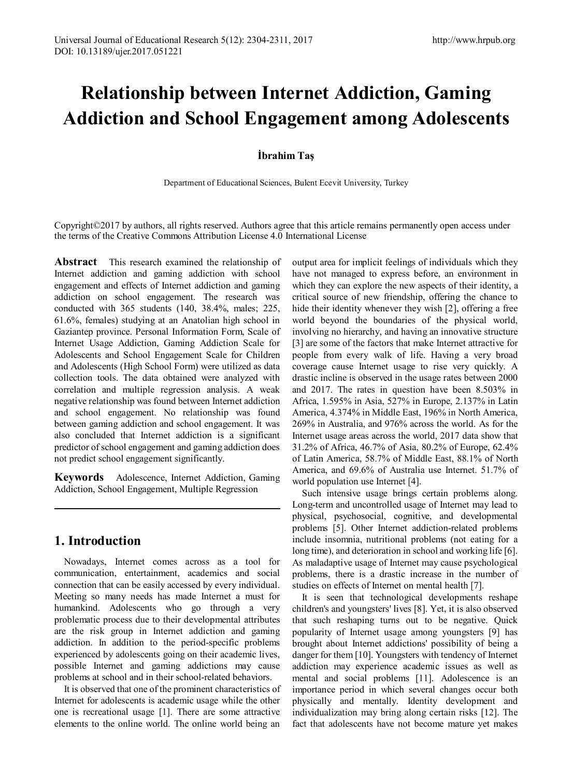# **Relationship between Internet Addiction, Gaming Addiction and School Engagement among Adolescents**

# **İbrahim Taş**

Department of Educational Sciences, Bulent Ecevit University, Turkey

Copyright©2017 by authors, all rights reserved. Authors agree that this article remains permanently open access under the terms of the Creative Commons Attribution License 4.0 International License

**Abstract** This research examined the relationship of Internet addiction and gaming addiction with school engagement and effects of Internet addiction and gaming addiction on school engagement. The research was conducted with 365 students (140, 38.4%, males; 225, 61.6%, females) studying at an Anatolian high school in Gaziantep province. Personal Information Form, Scale of Internet Usage Addiction, Gaming Addiction Scale for Adolescents and School Engagement Scale for Children and Adolescents (High School Form) were utilized as data collection tools. The data obtained were analyzed with correlation and multiple regression analysis. A weak negative relationship was found between Internet addiction and school engagement. No relationship was found between gaming addiction and school engagement. It was also concluded that Internet addiction is a significant predictor of school engagement and gaming addiction does not predict school engagement significantly.

**Keywords** Adolescence, Internet Addiction, Gaming Addiction, School Engagement, Multiple Regression

# **1. Introduction**

Nowadays, Internet comes across as a tool for communication, entertainment, academics and social connection that can be easily accessed by every individual. Meeting so many needs has made Internet a must for humankind. Adolescents who go through a very problematic process due to their developmental attributes are the risk group in Internet addiction and gaming addiction. In addition to the period-specific problems experienced by adolescents going on their academic lives, possible Internet and gaming addictions may cause problems at school and in their school-related behaviors.

It is observed that one of the prominent characteristics of Internet for adolescents is academic usage while the other one is recreational usage [1]. There are some attractive elements to the online world. The online world being an

output area for implicit feelings of individuals which they have not managed to express before, an environment in which they can explore the new aspects of their identity, a critical source of new friendship, offering the chance to hide their identity whenever they wish [2], offering a free world beyond the boundaries of the physical world, involving no hierarchy, and having an innovative structure [3] are some of the factors that make Internet attractive for people from every walk of life. Having a very broad coverage cause Internet usage to rise very quickly. A drastic incline is observed in the usage rates between 2000 and 2017. The rates in question have been 8.503% in Africa, 1.595% in Asia, 527% in Europe, 2.137% in Latin America, 4.374% in Middle East, 196% in North America, 269% in Australia, and 976% across the world. As for the Internet usage areas across the world, 2017 data show that 31.2% of Africa, 46.7% of Asia, 80.2% of Europe, 62.4% of Latin America, 58.7% of Middle East, 88.1% of North America, and 69.6% of Australia use Internet. 51.7% of world population use Internet [4].

Such intensive usage brings certain problems along. Long-term and uncontrolled usage of Internet may lead to physical, psychosocial, cognitive, and developmental problems [5]. Other Internet addiction-related problems include insomnia, nutritional problems (not eating for a long time), and deterioration in school and working life [6]. As maladaptive usage of Internet may cause psychological problems, there is a drastic increase in the number of studies on effects of Internet on mental health [7].

It is seen that technological developments reshape children's and youngsters' lives [8]. Yet, it is also observed that such reshaping turns out to be negative. Quick popularity of Internet usage among youngsters [9] has brought about Internet addictions' possibility of being a danger for them [10]. Youngsters with tendency of Internet addiction may experience academic issues as well as mental and social problems [11]. Adolescence is an importance period in which several changes occur both physically and mentally. Identity development and individualization may bring along certain risks [12]. The fact that adolescents have not become mature yet makes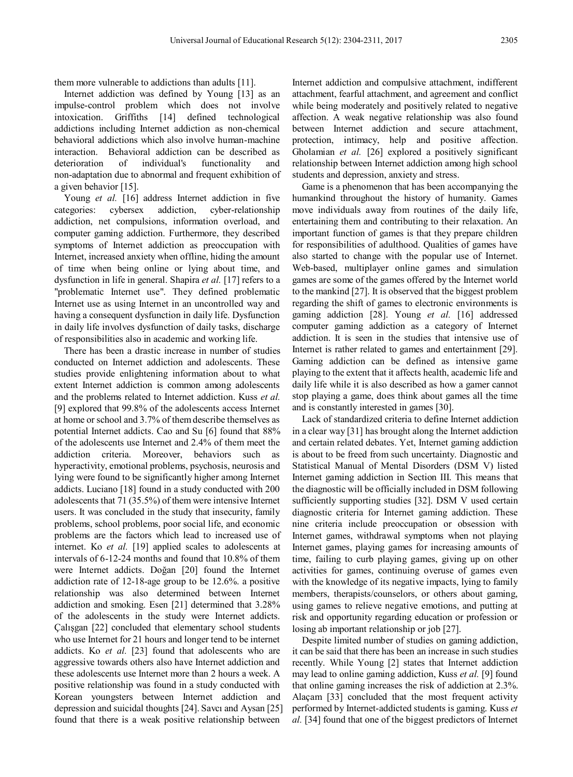them more vulnerable to addictions than adults [11].

Internet addiction was defined by Young [13] as an impulse-control problem which does not involve intoxication. Griffiths [14] defined technological addictions including Internet addiction as non-chemical behavioral addictions which also involve human-machine interaction. Behavioral addiction can be described as deterioration of individual's functionality and non-adaptation due to abnormal and frequent exhibition of a given behavior [15].

Young *et al.* [16] address Internet addiction in five categories: cybersex addiction, cyber-relationship addiction, net compulsions, information overload, and computer gaming addiction. Furthermore, they described symptoms of Internet addiction as preoccupation with Internet, increased anxiety when offline, hiding the amount of time when being online or lying about time, and dysfunction in life in general. Shapira *et al.* [17] refers to a "problematic Internet use". They defined problematic Internet use as using Internet in an uncontrolled way and having a consequent dysfunction in daily life. Dysfunction in daily life involves dysfunction of daily tasks, discharge of responsibilities also in academic and working life.

There has been a drastic increase in number of studies conducted on Internet addiction and adolescents. These studies provide enlightening information about to what extent Internet addiction is common among adolescents and the problems related to Internet addiction. Kuss *et al.* [9] explored that 99.8% of the adolescents access Internet at home or school and 3.7% of them describe themselves as potential Internet addicts. Cao and Su [6] found that 88% of the adolescents use Internet and 2.4% of them meet the addiction criteria. Moreover, behaviors such as hyperactivity, emotional problems, psychosis, neurosis and lying were found to be significantly higher among Internet addicts. Luciano [18] found in a study conducted with 200 adolescents that 71 (35.5%) of them were intensive Internet users. It was concluded in the study that insecurity, family problems, school problems, poor social life, and economic problems are the factors which lead to increased use of internet. Ko *et al.* [19] applied scales to adolescents at intervals of 6-12-24 months and found that 10.8% of them were Internet addicts. Doğan [20] found the Internet addiction rate of 12-18-age group to be 12.6%. a positive relationship was also determined between Internet addiction and smoking. Esen [21] determined that 3.28% of the adolescents in the study were Internet addicts. Çalışgan [22] concluded that elementary school students who use Internet for 21 hours and longer tend to be internet addicts. Ko *et al.* [23] found that adolescents who are aggressive towards others also have Internet addiction and these adolescents use Internet more than 2 hours a week. A positive relationship was found in a study conducted with Korean youngsters between Internet addiction and depression and suicidal thoughts [24]. Savcı and Aysan [25] found that there is a weak positive relationship between

Internet addiction and compulsive attachment, indifferent attachment, fearful attachment, and agreement and conflict while being moderately and positively related to negative affection. A weak negative relationship was also found between Internet addiction and secure attachment, protection, intimacy, help and positive affection. Gholamian *et al.* [26] explored a positively significant relationship between Internet addiction among high school students and depression, anxiety and stress.

Game is a phenomenon that has been accompanying the humankind throughout the history of humanity. Games move individuals away from routines of the daily life, entertaining them and contributing to their relaxation. An important function of games is that they prepare children for responsibilities of adulthood. Qualities of games have also started to change with the popular use of Internet. Web-based, multiplayer online games and simulation games are some of the games offered by the Internet world to the mankind [27]. It is observed that the biggest problem regarding the shift of games to electronic environments is gaming addiction [28]. Young *et al.* [16] addressed computer gaming addiction as a category of Internet addiction. It is seen in the studies that intensive use of Internet is rather related to games and entertainment [29]. Gaming addiction can be defined as intensive game playing to the extent that it affects health, academic life and daily life while it is also described as how a gamer cannot stop playing a game, does think about games all the time and is constantly interested in games [30].

Lack of standardized criteria to define Internet addiction in a clear way [31] has brought along the Internet addiction and certain related debates. Yet, Internet gaming addiction is about to be freed from such uncertainty. Diagnostic and Statistical Manual of Mental Disorders (DSM V) listed Internet gaming addiction in Section III. This means that the diagnostic will be officially included in DSM following sufficiently supporting studies [32]. DSM V used certain diagnostic criteria for Internet gaming addiction. These nine criteria include preoccupation or obsession with Internet games, withdrawal symptoms when not playing Internet games, playing games for increasing amounts of time, failing to curb playing games, giving up on other activities for games, continuing overuse of games even with the knowledge of its negative impacts, lying to family members, therapists/counselors, or others about gaming, using games to relieve negative emotions, and putting at risk and opportunity regarding education or profession or losing ab important relationship or job [27].

Despite limited number of studies on gaming addiction, it can be said that there has been an increase in such studies recently. While Young [2] states that Internet addiction may lead to online gaming addiction, Kuss *et al.* [9] found that online gaming increases the risk of addiction at 2.3%. Alaçam [33] concluded that the most frequent activity performed by Internet-addicted students is gaming. Kuss *et al.* [34] found that one of the biggest predictors of Internet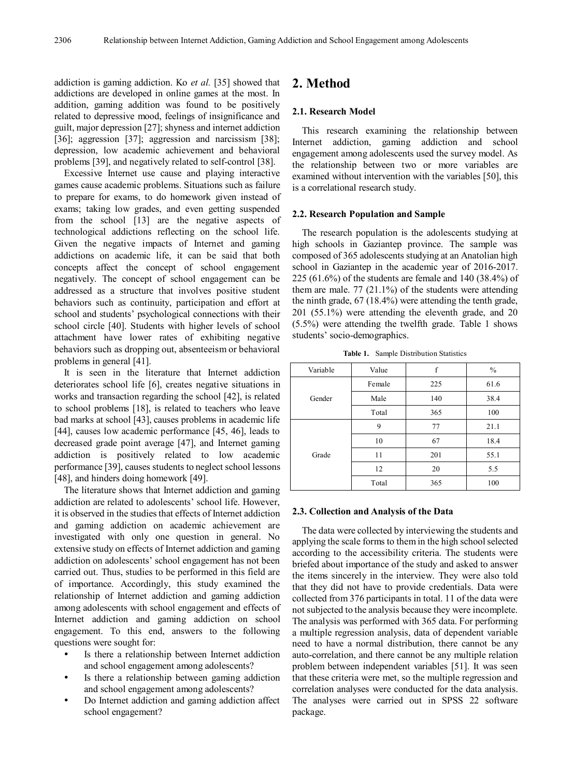addiction is gaming addiction. Ko *et al.* [35] showed that addictions are developed in online games at the most. In addition, gaming addition was found to be positively related to depressive mood, feelings of insignificance and guilt, major depression [27]; shyness and internet addiction [36]; aggression [37]; aggression and narcissism [38]; depression, low academic achievement and behavioral problems [39], and negatively related to self-control [38].

Excessive Internet use cause and playing interactive games cause academic problems. Situations such as failure to prepare for exams, to do homework given instead of exams; taking low grades, and even getting suspended from the school [13] are the negative aspects of technological addictions reflecting on the school life. Given the negative impacts of Internet and gaming addictions on academic life, it can be said that both concepts affect the concept of school engagement negatively. The concept of school engagement can be addressed as a structure that involves positive student behaviors such as continuity, participation and effort at school and students' psychological connections with their school circle [40]. Students with higher levels of school attachment have lower rates of exhibiting negative behaviors such as dropping out, absenteeism or behavioral problems in general [41].

It is seen in the literature that Internet addiction deteriorates school life [6], creates negative situations in works and transaction regarding the school [42], is related to school problems [18], is related to teachers who leave bad marks at school [43], causes problems in academic life [44], causes low academic performance [45, 46], leads to decreased grade point average [47], and Internet gaming addiction is positively related to low academic performance [39], causes students to neglect school lessons [48], and hinders doing homework [49].

The literature shows that Internet addiction and gaming addiction are related to adolescents' school life. However, it is observed in the studies that effects of Internet addiction and gaming addiction on academic achievement are investigated with only one question in general. No extensive study on effects of Internet addiction and gaming addiction on adolescents' school engagement has not been carried out. Thus, studies to be performed in this field are of importance. Accordingly, this study examined the relationship of Internet addiction and gaming addiction among adolescents with school engagement and effects of Internet addiction and gaming addiction on school engagement. To this end, answers to the following questions were sought for:

- Is there a relationship between Internet addiction and school engagement among adolescents?
- Is there a relationship between gaming addiction and school engagement among adolescents?
- Do Internet addiction and gaming addiction affect school engagement?

# **2. Method**

## **2.1. Research Model**

This research examining the relationship between Internet addiction, gaming addiction and school engagement among adolescents used the survey model. As the relationship between two or more variables are examined without intervention with the variables [50], this is a correlational research study.

## **2.2. Research Population and Sample**

The research population is the adolescents studying at high schools in Gaziantep province. The sample was composed of 365 adolescents studying at an Anatolian high school in Gaziantep in the academic year of 2016-2017. 225 (61.6%) of the students are female and 140 (38.4%) of them are male.  $77$   $(21.1\%)$  of the students were attending the ninth grade, 67 (18.4%) were attending the tenth grade, 201 (55.1%) were attending the eleventh grade, and 20 (5.5%) were attending the twelfth grade. Table 1 shows students' socio-demographics.

**Table 1.** Sample Distribution Statistics

| Variable | Value  | f   | $\frac{0}{0}$ |  |
|----------|--------|-----|---------------|--|
| Gender   | Female | 225 | 61.6          |  |
|          | Male   | 140 | 38.4          |  |
|          | Total  | 365 | 100           |  |
| Grade    | 9      | 77  | 21.1          |  |
|          | 10     | 67  | 18.4          |  |
|          | 11     | 201 | 55.1          |  |
|          | 12     | 20  | 5.5           |  |
|          | Total  | 365 | 100           |  |

#### **2.3. Collection and Analysis of the Data**

The data were collected by interviewing the students and applying the scale forms to them in the high school selected according to the accessibility criteria. The students were briefed about importance of the study and asked to answer the items sincerely in the interview. They were also told that they did not have to provide credentials. Data were collected from 376 participants in total. 11 of the data were not subjected to the analysis because they were incomplete. The analysis was performed with 365 data. For performing a multiple regression analysis, data of dependent variable need to have a normal distribution, there cannot be any auto-correlation, and there cannot be any multiple relation problem between independent variables [51]. It was seen that these criteria were met, so the multiple regression and correlation analyses were conducted for the data analysis. The analyses were carried out in SPSS 22 software package.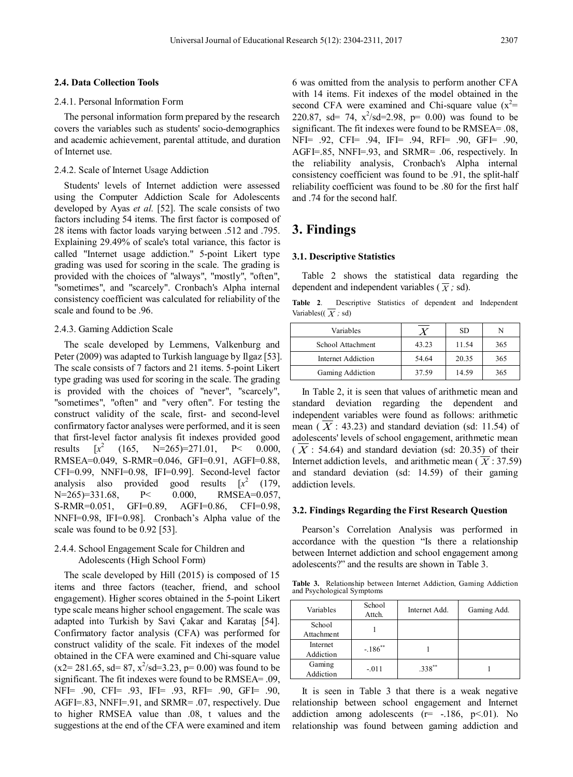#### **2.4. Data Collection Tools**

## 2.4.1. Personal Information Form

The personal information form prepared by the research covers the variables such as students' socio-demographics and academic achievement, parental attitude, and duration of Internet use.

## 2.4.2. Scale of Internet Usage Addiction

Students' levels of Internet addiction were assessed using the Computer Addiction Scale for Adolescents developed by Ayas *et al.* [52]. The scale consists of two factors including 54 items. The first factor is composed of 28 items with factor loads varying between .512 and .795. Explaining 29.49% of scale's total variance, this factor is called "Internet usage addiction." 5-point Likert type grading was used for scoring in the scale. The grading is provided with the choices of "always", "mostly", "often", "sometimes", and "scarcely". Cronbach's Alpha internal consistency coefficient was calculated for reliability of the scale and found to be .96.

## 2.4.3. Gaming Addiction Scale

The scale developed by Lemmens, Valkenburg and Peter (2009) was adapted to Turkish language by Ilgaz [53]. The scale consists of 7 factors and 21 items. 5-point Likert type grading was used for scoring in the scale. The grading is provided with the choices of "never", "scarcely", "sometimes", "often" and "very often". For testing the construct validity of the scale, first- and second-level confirmatory factor analyses were performed, and it is seen that first-level factor analysis fit indexes provided good results  $\sqrt{x^2}$  $(165, \quad N=265)=271.01, \quad P< 0.000,$ RMSEA=0.049, S-RMR=0.046, GFI=0.91, AGFI=0.88, CFI=0.99, NNFI=0.98, IFI=0.99]. Second-level factor analysis also provided good results [*x*  $(179,$ N=265)=331.68, P< 0.000, RMSEA=0.057, S-RMR=0.051, GFI=0.89, AGFI=0.86, CFI=0.98, NNFI=0.98, IFI=0.98]. Cronbach's Alpha value of the scale was found to be 0.92 [53].

# 2.4.4. School Engagement Scale for Children and Adolescents (High School Form)

The scale developed by Hill (2015) is composed of 15 items and three factors (teacher, friend, and school engagement). Higher scores obtained in the 5-point Likert type scale means higher school engagement. The scale was adapted into Turkish by Savi Çakar and Karataş [54]. Confirmatory factor analysis (CFA) was performed for construct validity of the scale. Fit indexes of the model obtained in the CFA were examined and Chi-square value  $(x2 = 281.65, sd = 87, x<sup>2</sup>/sd = 3.23, p = 0.00)$  was found to be significant. The fit indexes were found to be RMSEA= .09, NFI= .90, CFI= .93, IFI= .93, RFI= .90, GFI= .90, AGFI=.83, NNFI=.91, and SRMR= .07, respectively. Due to higher RMSEA value than .08, t values and the suggestions at the end of the CFA were examined and item

6 was omitted from the analysis to perform another CFA with 14 items. Fit indexes of the model obtained in the second CFA were examined and Chi-square value  $(x^2=$ 220.87, sd= 74,  $x^2$ /sd=2.98, p= 0.00) was found to be significant. The fit indexes were found to be RMSEA= .08, NFI= .92, CFI= .94, IFI= .94, RFI= .90, GFI= .90, AGFI=.85, NNFI=.93, and SRMR= .06, respectively. In the reliability analysis, Cronbach's Alpha internal consistency coefficient was found to be .91, the split-half reliability coefficient was found to be .80 for the first half and .74 for the second half.

# **3. Findings**

## **3.1. Descriptive Statistics**

Table 2 shows the statistical data regarding the dependent and independent variables ( $\overline{X}$ ; sd).

**Table 2**. Descriptive Statistics of dependent and Independent Variables( $(\overline{X}$ ; sd)

| Variables          |       | SD.   |     |
|--------------------|-------|-------|-----|
| School Attachment  | 43.23 | 11.54 | 365 |
| Internet Addiction | 54.64 | 20.35 | 365 |
| Gaming Addiction   | 37.59 | 14.59 | 365 |

In Table 2, it is seen that values of arithmetic mean and standard deviation regarding the dependent and independent variables were found as follows: arithmetic mean  $(X: 43.23)$  and standard deviation (sd: 11.54) of adolescents' levels of school engagement, arithmetic mean  $(X: 54.64)$  and standard deviation (sd: 20.35) of their Internet addiction levels, and arithmetic mean ( $\overline{X}$ : 37.59) and standard deviation (sd: 14.59) of their gaming addiction levels.

#### **3.2. Findings Regarding the First Research Question**

Pearson's Correlation Analysis was performed in accordance with the question "Is there a relationship between Internet addiction and school engagement among adolescents?" and the results are shown in Table 3.

**Table 3.** Relationship between Internet Addiction, Gaming Addiction and Psychological Symptoms

| Variables  | School<br>Attch.      | Internet Add. | Gaming Add. |  |
|------------|-----------------------|---------------|-------------|--|
| School     |                       |               |             |  |
| Attachment |                       |               |             |  |
| Internet   | $-.186$ <sup>**</sup> |               |             |  |
| Addiction  |                       |               |             |  |
| Gaming     | $-.011$               | $.338***$     |             |  |
| Addiction  |                       |               |             |  |

It is seen in Table 3 that there is a weak negative relationship between school engagement and Internet addiction among adolescents  $(r=-.186, p<.01)$ . No relationship was found between gaming addiction and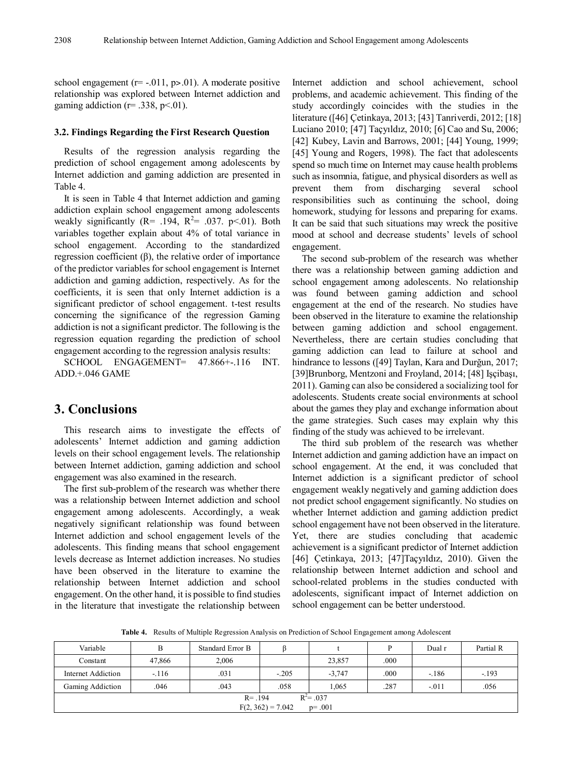school engagement ( $r = -0.011$ ,  $p > 0.01$ ). A moderate positive relationship was explored between Internet addiction and gaming addiction ( $r = .338$ ,  $p < .01$ ).

## **3.2. Findings Regarding the First Research Question**

Results of the regression analysis regarding the prediction of school engagement among adolescents by Internet addiction and gaming addiction are presented in Table 4.

It is seen in Table 4 that Internet addiction and gaming addiction explain school engagement among adolescents weakly significantly ( $R = 0.194$ ,  $R^2 = 0.037$ . p<0.01). Both variables together explain about 4% of total variance in school engagement. According to the standardized regression coefficient (β), the relative order of importance of the predictor variables for school engagement is Internet addiction and gaming addiction, respectively. As for the coefficients, it is seen that only Internet addiction is a significant predictor of school engagement. t-test results concerning the significance of the regression Gaming addiction is not a significant predictor. The following is the regression equation regarding the prediction of school engagement according to the regression analysis results:

SCHOOL ENGAGEMENT= 47.866+-.116 INT. ADD.+.046 GAME

# **3. Conclusions**

This research aims to investigate the effects of adolescents' Internet addiction and gaming addiction levels on their school engagement levels. The relationship between Internet addiction, gaming addiction and school engagement was also examined in the research.

The first sub-problem of the research was whether there was a relationship between Internet addiction and school engagement among adolescents. Accordingly, a weak negatively significant relationship was found between Internet addiction and school engagement levels of the adolescents. This finding means that school engagement levels decrease as Internet addiction increases. No studies have been observed in the literature to examine the relationship between Internet addiction and school engagement. On the other hand, it is possible to find studies in the literature that investigate the relationship between

Internet addiction and school achievement, school problems, and academic achievement. This finding of the study accordingly coincides with the studies in the literature ([46] Çetinkaya, 2013; [43] Tanriverdi, 2012; [18] Luciano 2010; [47] Taçyıldız, 2010; [6] Cao and Su, 2006; [42] Kubey, Lavin and Barrows, 2001; [44] Young, 1999; [45] Young and Rogers, 1998). The fact that adolescents spend so much time on Internet may cause health problems such as insomnia, fatigue, and physical disorders as well as prevent them from discharging several school responsibilities such as continuing the school, doing homework, studying for lessons and preparing for exams. It can be said that such situations may wreck the positive mood at school and decrease students' levels of school engagement.

The second sub-problem of the research was whether there was a relationship between gaming addiction and school engagement among adolescents. No relationship was found between gaming addiction and school engagement at the end of the research. No studies have been observed in the literature to examine the relationship between gaming addiction and school engagement. Nevertheless, there are certain studies concluding that gaming addiction can lead to failure at school and hindrance to lessons ([49] Taylan, Kara and Durğun, 2017; [39]Brunborg, Mentzoni and Froyland, 2014; [48] Işçibaşı, 2011). Gaming can also be considered a socializing tool for adolescents. Students create social environments at school about the games they play and exchange information about the game strategies. Such cases may explain why this finding of the study was achieved to be irrelevant.

The third sub problem of the research was whether Internet addiction and gaming addiction have an impact on school engagement. At the end, it was concluded that Internet addiction is a significant predictor of school engagement weakly negatively and gaming addiction does not predict school engagement significantly. No studies on whether Internet addiction and gaming addiction predict school engagement have not been observed in the literature. Yet, there are studies concluding that academic achievement is a significant predictor of Internet addiction [46] Çetinkaya, 2013; [47]Taçyıldız, 2010). Given the relationship between Internet addiction and school and school-related problems in the studies conducted with adolescents, significant impact of Internet addiction on school engagement can be better understood.

**Table 4.** Results of Multiple Regression Analysis on Prediction of School Engagement among Adolescent

| Variable                          |         | Standard Error B |         |          | p    | Dual r  | Partial R |
|-----------------------------------|---------|------------------|---------|----------|------|---------|-----------|
| Constant                          | 47,866  | 2,006            |         | 23,857   | .000 |         |           |
| Internet Addiction                | $-.116$ | .031             | $-.205$ | $-3,747$ | .000 | $-.186$ | $-193$    |
| Gaming Addiction                  | .046    | .043             | .058    | 1,065    | .287 | $-.011$ | .056      |
| $R^2 = 0.037$<br>$R = .194$       |         |                  |         |          |      |         |           |
| $F(2, 362) = 7.042$<br>$p = .001$ |         |                  |         |          |      |         |           |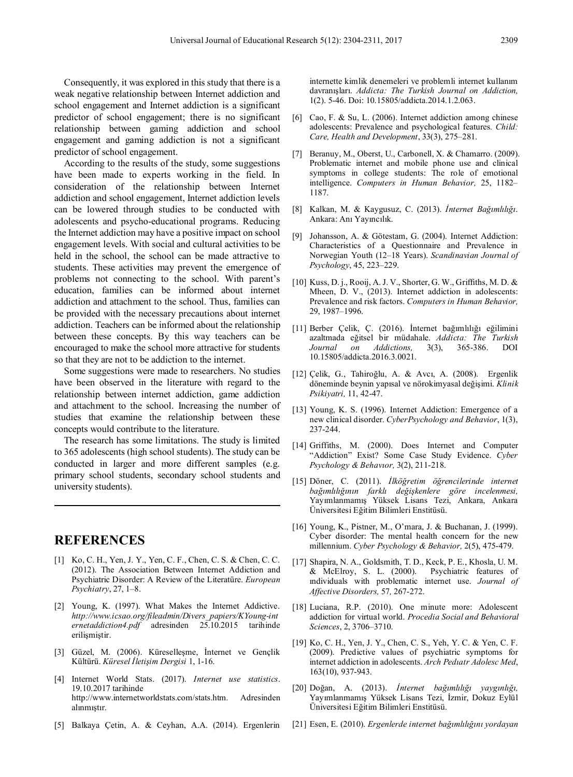Consequently, it was explored in this study that there is a weak negative relationship between Internet addiction and school engagement and Internet addiction is a significant predictor of school engagement; there is no significant relationship between gaming addiction and school engagement and gaming addiction is not a significant predictor of school engagement.

According to the results of the study, some suggestions have been made to experts working in the field. In consideration of the relationship between Internet addiction and school engagement, Internet addiction levels can be lowered through studies to be conducted with adolescents and psycho-educational programs. Reducing the Internet addiction may have a positive impact on school engagement levels. With social and cultural activities to be held in the school, the school can be made attractive to students. These activities may prevent the emergence of problems not connecting to the school. With parent's education, families can be informed about internet addiction and attachment to the school. Thus, families can be provided with the necessary precautions about internet addiction. Teachers can be informed about the relationship between these concepts. By this way teachers can be encouraged to make the school more attractive for students so that they are not to be addiction to the internet.

Some suggestions were made to researchers. No studies have been observed in the literature with regard to the relationship between internet addiction, game addiction and attachment to the school. Increasing the number of studies that examine the relationship between these concepts would contribute to the literature.

The research has some limitations. The study is limited to 365 adolescents (high school students). The study can be conducted in larger and more different samples (e.g. primary school students, secondary school students and university students).

# **REFERENCES**

- [1] Ko, C. H., Yen, J. Y., Yen, C. F., Chen, C. S. & Chen, C. C. (2012). The Association Between Internet Addiction and Psychiatric Disorder: A Review of the Literatüre. *European Psychiatry*, 27, 1–8.
- [2] Young, K. (1997). What Makes the Internet Addictive. *http://www.icsao.org/fileadmin/Divers\_papiers/KYoung-int ernetaddiction4.pdf* adresinden 25.10.2015 tarihinde erilişmiştir.
- [3] Güzel, M. (2006). Küreselleşme, İnternet ve Gençlik Kültürü. *Küresel İletişim Dergisi* 1, 1-16.
- [4] Internet World Stats. (2017). *Internet use statistics*. 19.10.2017 tarihinde http://www.internetworldstats.com/stats.htm. Adresinden alınmıştır.
- [5] Balkaya Çetin, A. & Ceyhan, A.A. (2014). Ergenlerin

internette kimlik denemeleri ve problemli internet kullanım davranışları. *Addicta: The Turkish Journal on Addiction,*  1(2). 5-46. Doi: 10.15805/addicta.2014.1.2.063.

- [6] Cao, F. & Su, L. (2006). Internet addiction among chinese adolescents: Prevalence and psychological features*. Child: Care, Health and Development*, 33(3), 275–281.
- [7] Beranuy, M., Oberst, U., Carbonell, X. & Chamarro. (2009). Problematic internet and mobile phone use and clinical symptoms in college students: The role of emotional intelligence. *Computers in Human Behavior,* 25, 1182– 1187.
- [8] Kalkan, M. & Kaygusuz, C. (2013). *İnternet Bağımlılığı*. Ankara: Anı Yayıncılık.
- [9] Johansson, A. & Götestam, G. (2004). Internet Addiction: Characteristics of a Questionnaire and Prevalence in Norwegian Youth (12–18 Years). *Scandinavian Journal of Psychology*, 45, 223–229.
- [10] Kuss, D. j., Rooij, A. J. V., Shorter, G. W., Griffiths, M. D. & Mheen, D. V., (2013). Internet addiction in adolescents: Prevalence and risk factors. *Computers in Human Behavior,*  29, 1987–1996.
- [11] Berber Çelik, Ç. (2016). İnternet bağımlılığı eğilimini azaltmada eğitsel bir müdahale. *Addicta: The Turkish Journal on Addictions,* 3(3), 365-386. DOI 10.15805/addicta.2016.3.0021.
- [12] Çelik, G., Tahiroğlu, A. & Avcı, A. (2008). Ergenlik döneminde beynin yapısal ve nörokimyasal değişimi. *Klinik Psikiyatri,* 11, 42-47.
- [13] Young, K. S. (1996). Internet Addiction: Emergence of a new clinical disorder. *CyberPsychology and Behavior*, 1(3), 237-244.
- [14] Griffiths, M. (2000). Does Internet and Computer "Addiction" Exist? Some Case Study Evidence. *Cyber Psychology & Behavıor,* 3(2), 211-218.
- [15] Döner, C. (2011). *İlköğretim öğrencilerinde internet bağımlılığının farklı değişkenlere göre incelenmesi,* Yayımlanmamış Yüksek Lisans Tezi, Ankara, Ankara Üniversitesi Eğitim Bilimleri Enstitüsü.
- [16] Young, K., Pistner, M., O'mara, J. & Buchanan, J. (1999). Cyber disorder: The mental health concern for the new millennium. *Cyber Psychology & Behavior,* 2(5), 475-479.
- [17] Shapira, N. A., Goldsmith, T. D., Keck, P. E., Khosla, U. M. & McElroy, S. L. (2000). Psychiatric features of ındividuals with problematic internet use. *Journal of Affective Disorders,* 57*,* 267-272.
- [18] Luciana, R.P. (2010). One minute more: Adolescent addiction for virtual world. *Procedia Social and Behavioral Sciences*, 2, 3706–3710.
- [19] Ko, C. H., Yen, J. Y., Chen, C. S., Yeh, Y. C. & Yen, C. F. (2009). Predictive values of psychiatric symptoms for internet addiction in adolescents. *Arch Pedıatr Adolesc Med*, 163(10), 937-943.
- [20] Doğan, A. (2013). *İnternet bağımlılığı yaygınlığı,*  Yayımlanmamış Yüksek Lisans Tezi, İzmir, Dokuz Eylül Üniversitesi Eğitim Bilimleri Enstitüsü.
- [21] Esen, E. (2010). *Ergenlerde internet bağımlılığını yordayan*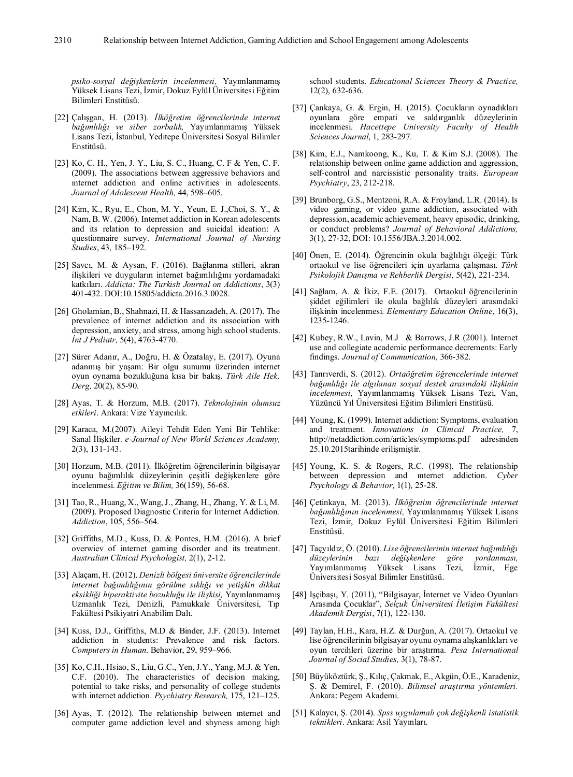*psiko-sosyal değişkenlerin incelenmesi,* Yayımlanmamış Yüksek Lisans Tezi, İzmir, Dokuz Eylül Üniversitesi Eğitim Bilimleri Enstitüsü.

- [22] Çalışgan, H. (2013). *İlköğretim öğrencilerinde internet bağımlılığı ve siber zorbalık,* Yayımlanmamış Yüksek Lisans Tezi, İstanbul, Yeditepe Üniversitesi Sosyal Bilimler Enstitüsü.
- [23] Ko, C. H., Yen, J. Y., Liu, S. C., Huang, C. F & Yen, C. F. (2009). The associations between aggressive behaviors and ınternet addiction and online activities in adolescents. *Journal of Adolescent Health,* 44, 598–605.
- [24] Kim, K., Ryu, E., Chon, M. Y., Yeun, E. J.,Choi, S. Y., & Nam, B. W. (2006). Internet addiction in Korean adolescents and its relation to depression and suicidal ideation: A questionnaire survey. *International Journal of Nursing Studies*, 43, 185–192.
- [25] Savcı, M. & Aysan, F. (2016). Bağlanma stilleri, akran ilişkileri ve duyguların internet bağımlılığını yordamadaki katkıları. *Addicta: The Turkish Journal on Addictions*, 3(3) 401-432. DOI:10.15805/addicta.2016.3.0028.
- [26] Gholamian, B., Shahnazi, H. & Hassanzadeh, A. (2017). The prevalence of internet addiction and its association with depression, anxiety, and stress, among high school students. *İnt J Pediatr,* 5(4), 4763-4770.
- [27] Sürer Adanır, A., Doğru, H. & Özatalay, E. (2017). Oyuna adanmış bir yaşam: Bir olgu sunumu üzerinden internet oyun oynama bozukluğuna kısa bir bakış. *Türk Aile Hek. Derg,* 20(2), 85-90.
- [28] Ayas, T. & Horzum, M.B. (2017). *Teknolojinin olumsuz etkileri*. Ankara: Vize Yayıncılık.
- [29] Karaca, M.(2007). Aileyi Tehdit Eden Yeni Bir Tehlike: Sanal İlişkiler. *e-Journal of New World Sciences Academy,*  2(3), 131-143.
- [30] Horzum, M.B. (2011). İlköğretim öğrencilerinin bilgisayar oyunu bağımlılık düzeylerinin çeşitli değişkenlere göre incelenmesi. *Eğitim ve Bilim,* 36(159), 56-68.
- [31] Tao, R., Huang, X., Wang, J., Zhang, H., Zhang, Y. & Li, M. (2009). Proposed Diagnostic Criteria for Internet Addiction. *Addiction*, 105, 556–564.
- [32] Griffiths, M.D., Kuss, D. & Pontes, H.M. (2016). A brief overwiev of internet gaming disorder and its treatment. *Australian Clinical Psychologist,* 2(1), 2-12.
- [33] Alaçam, H. (2012). *Denizli bölgesi üniversite öğrencilerinde internet bağımlılığının görülme sıklığı ve yetişkin dikkat eksikliği hiperaktivite bozukluğu ile ilişkisi,* Yayınlanmamış Uzmanlık Tezi, Denizli, Pamukkale Üniversitesi, Tıp Fakültesi Psikiyatri Anabilim Dalı.
- [34] Kuss, D.J., Griffiths, M.D & Binder, J.F. (2013). Internet addiction in students: Prevalence and risk factors. *Computers in Human.* Behavior, 29, 959–966.
- [35] Ko, C.H., Hsiao, S., Liu, G.C., Yen, J.Y., Yang, M.J. & Yen, C.F. (2010). The characteristics of decision making, potential to take risks, and personality of college students with internet addiction. *Psychiatry Research,* 175, 121–125.
- [36] Ayas, T. (2012). The relationship between ınternet and computer game addiction level and shyness among high

school students. *Educational Sciences Theory & Practice,*  12(2), 632-636.

- [37] Çankaya, G. & Ergin, H. (2015). Çocukların oynadıkları oyunlara göre empati ve saldırganlık düzeylerinin incelenmesi. *Hacettepe University Faculty of Health Sciences Journal*, 1, 283-297.
- [38] Kim, E.J., Namkoong, K., Ku, T. & Kim S.J. (2008). The relationship between online game addiction and aggression, self-control and narcissistic personality traits. *European Psychiatry*, 23, 212-218.
- [39] Brunborg, G.S., Mentzoni, R.A. & Froyland, L.R. (2014). Is video gaming, or video game addiction, associated with depression, academic achievement, heavy episodic, drinking, or conduct problems? *Journal of Behavioral Addictions,*  3(1), 27-32, DOI: 10.1556/JBA.3.2014.002.
- [40] Önen, E. (2014). Öğrencinin okula bağlılığı ölçeği: Türk ortaokul ve lise öğrencileri için uyarlama çalışması. *Türk Psikolojik Danışma ve Rehberlik Dergisi,* 5(42), 221-234.
- [41] Sağlam, A. & İkiz, F.E. (2017). Ortaokul öğrencilerinin şiddet eğilimleri ile okula bağlılık düzeyleri arasındaki ilişkinin incelenmesi. *Elementary Education Online*, 16(3), 1235-1246.
- [42] Kubey, R.W., Lavin, M.J & Barrows, J.R (2001). Internet use and collegiate academic performance decrements: Early findings. *Journal of Communication,* 366-382.
- [43] Tanrıverdi, S. (2012). *Ortaöğretim öğrencelerinde internet bağımlılığı ile algılanan sosyal destek arasındaki ilişkinin incelenmesi,* Yayımlanmamış Yüksek Lisans Tezi, Van, Yüzüncü Yıl Üniversitesi Eğitim Bilimleri Enstitüsü.
- [44] Young, K. (1999). Internet addiction: Symptoms, evaluation and treatment. *Innovations in Clinical Practice,* 7, http://netaddiction.com/articles/symptoms.pdf adresinden 25.10.2015tarihinde erilişmiştir.
- [45] Young, K. S. & Rogers, R.C. (1998). The relationship between depression and ınternet addiction. *Cyber Psychology & Behavior,* 1(1)*,* 25-28.
- [46] Çetinkaya, M. (2013). *İlköğretim öğrencilerinde internet bağımlılığının incelenmesi,* Yayımlanmamış Yüksek Lisans Tezi, İzmir, Dokuz Eylül Üniversitesi Eğitim Bilimleri Enstitüsü.
- [47] Taçyıldız, Ö. (2010). *Lise öğrencilerinin internet bağımlılığı düzeylerinin bazı değişkenlere göre yordanması,*  Yayımlanmamış Yüksek Lisans Tezi, İzmir, Ege Üniversitesi Sosyal Bilimler Enstitüsü.
- [48] Işçibaşı, Y. (2011), "Bilgisayar, İnternet ve Video Oyunları Arasında Çocuklar", *Selçuk Üniversitesi İletişim Fakültesi Akademik Dergisi*, 7(1), 122-130.
- [49] Taylan, H.H., Kara, H.Z. & Durğun, A. (2017). Ortaokul ve lise öğrencilerinin bilgisayar oyunu oynama alışkanlıkları ve oyun tercihleri üzerine bir araştırma. *Pesa International Journal of Social Studies,* 3(1), 78-87.
- [50] Büyüköztürk, Ş., Kılıç, Çakmak, E., Akgün, Ö.E., Karadeniz, Ş. & Demirel, F. (2010). *Bilimsel araştırma yöntemleri.*  Ankara: Pegem Akademi.
- [51] Kalaycı, Ş. (2014). *Spss uygulamalı çok değişkenli istatistik teknikleri*. Ankara: Asil Yayınları.